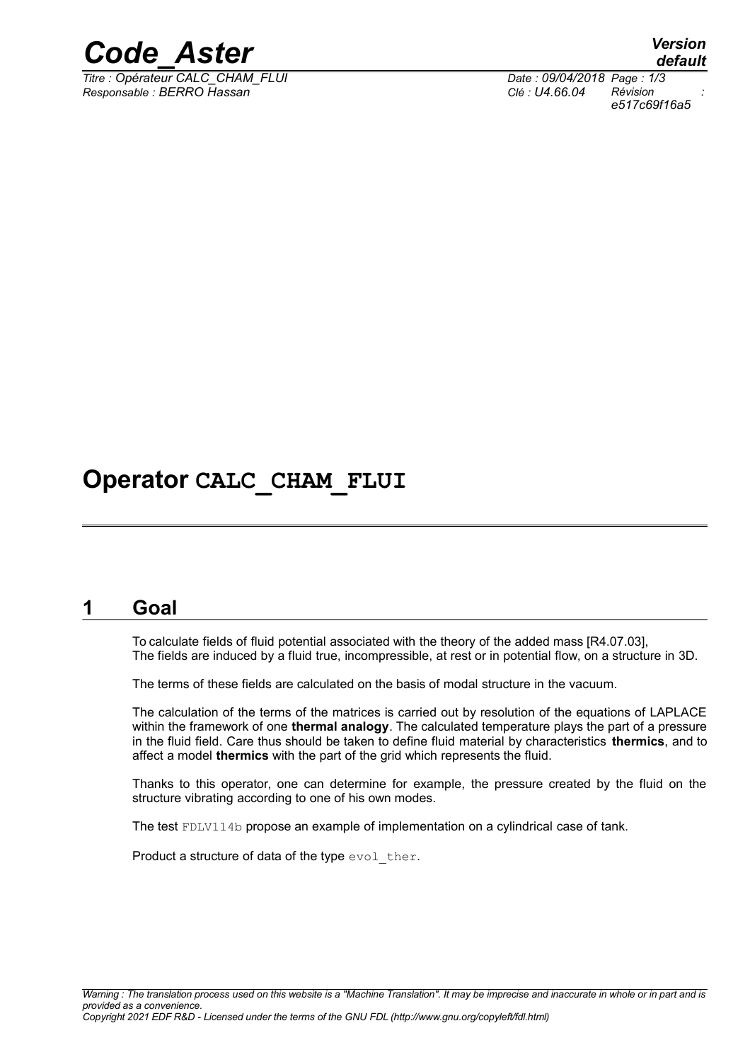

*Titre : Opérateur CALC\_CHAM\_FLUI Date : 09/04/2018 Page : 1/3 Responsable : BERRO Hassan Clé : U4.66.04 Révision :*

*default e517c69f16a5*

# **Operator CALC\_CHAM\_FLUI**

### **1 Goal**

To calculate fields of fluid potential associated with the theory of the added mass [R4.07.03], The fields are induced by a fluid true, incompressible, at rest or in potential flow, on a structure in 3D.

The terms of these fields are calculated on the basis of modal structure in the vacuum.

The calculation of the terms of the matrices is carried out by resolution of the equations of LAPLACE within the framework of one **thermal analogy**. The calculated temperature plays the part of a pressure in the fluid field. Care thus should be taken to define fluid material by characteristics **thermics**, and to affect a model **thermics** with the part of the grid which represents the fluid.

Thanks to this operator, one can determine for example, the pressure created by the fluid on the structure vibrating according to one of his own modes.

The test FDLV114b propose an example of implementation on a cylindrical case of tank.

Product a structure of data of the type evol ther.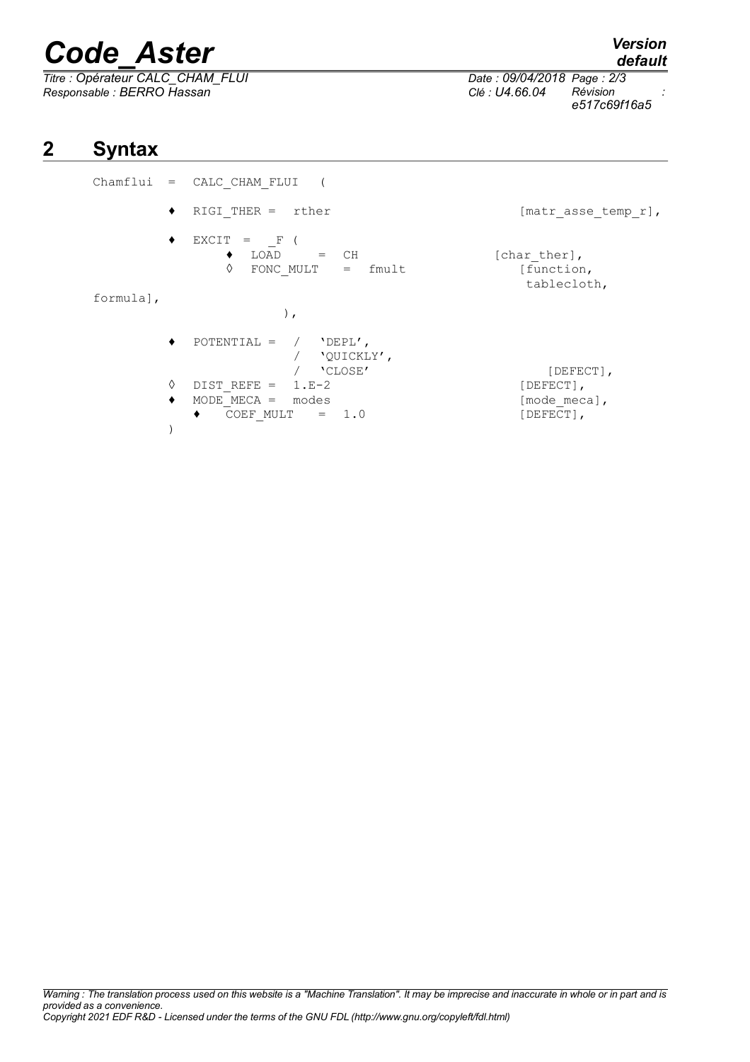# *Code\_Aster Version*

 $\overline{T}$ itre : Opérateur CALC\_CHAM\_FLUI *Responsable : BERRO Hassan Clé : U4.66.04 Révision :*

*Warning : The translation process used on this website is a "Machine Translation". It may be imprecise and inaccurate in whole or in part and is provided as a convenience. Copyright 2021 EDF R&D - Licensed under the terms of the GNU FDL (http://www.gnu.org/copyleft/fdl.html)*

# **2 Syntax**

Chamflui = CALC CHAM FLUI ( ◆ RIGI THER = rther [matr asse temp r],  $\begin{array}{cccc} \bullet & \text{EXCIT} & = & -\text{F} & ( \\ & \bullet & \text{LOAD} & \end{array}$  $\bullet$  LOAD = CH [charther],  $\Diamond$  FONC MULT = fmult  $\Box$  [function, tablecloth, formula], ),  $\rightarrow$  POTENTIAL = / 'DEPL', / **'**QUICKLY',<br>/ 'CLOSE' / 'CLOSE' [DEFECT],  $\lozenge$  DIST REFE = 1.E-2 [DEFECT],  $\blacklozenge$  MODE MECA = modes  $[\text{mode~meca}]$ ,  $\bullet$  COEF MULT = 1.0 [DEFECT], )



*e517c69f16a5*